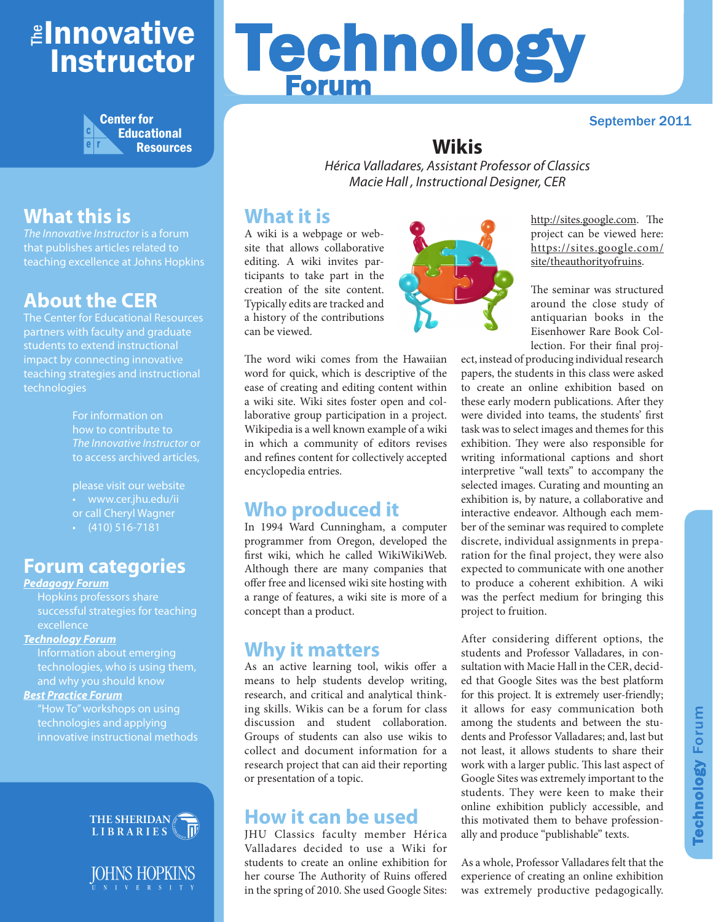## <mark>≇Innovative</mark> Instructor



## **What this is**

*The Innovative Instructor* is a forum that publishes articles related to teaching excellence at Johns Hopkins

## **About the CER**

The Center for Educational Resources partners with faculty and graduate students to extend instructional impact by connecting innovative teaching strategies and instructional technologies

> For information on how to contribute to *The Innovative Instructor* or to access archived articles,

please visit our website • www.cer.jhu.edu/ii or call Cheryl Wagner  $\cdot$  (410) 516-7181

#### **Forum categories**

#### *Pedagogy Forum*

Hopkins professors share successful strategies for teaching excellence

#### *Technology Forum*

Information about emerging technologies, who is using them, and why you should know

#### *Best Practice Forum*

"How To" workshops on using technologies and applying innovative instructional methods





# Technology Forum

#### September 2011

#### **Wikis**

*Hérica Valladares, Assistant Professor of Classics Macie Hall , Instructional Designer, CER*

#### **What it is**

A wiki is a webpage or website that allows collaborative editing. A wiki invites participants to take part in the creation of the site content. Typically edits are tracked and a history of the contributions can be viewed.



The word wiki comes from the Hawaiian word for quick, which is descriptive of the ease of creating and editing content within a wiki site. Wiki sites foster open and collaborative group participation in a project. Wikipedia is a well known example of a wiki in which a community of editors revises and refines content for collectively accepted encyclopedia entries.

### **Who produced it**

In 1994 Ward Cunningham, a computer programmer from Oregon, developed the first wiki, which he called WikiWikiWeb. Although there are many companies that offer free and licensed wiki site hosting with a range of features, a wiki site is more of a concept than a product.

#### **Why it matters**

As an active learning tool, wikis offer a means to help students develop writing, research, and critical and analytical thinking skills. Wikis can be a forum for class discussion and student collaboration. Groups of students can also use wikis to collect and document information for a research project that can aid their reporting or presentation of a topic.

#### **How it can be used**

JHU Classics faculty member Hérica Valladares decided to use a Wiki for students to create an online exhibition for her course The Authority of Ruins offered in the spring of 2010. She used Google Sites: http://sites.google.com. The project can be viewed here: [https://sites.google.com/](https://sites.google.com/site/theauthorityofruins) site/theauthorityofruins.

The seminar was structured around the close study of antiquarian books in the Eisenhower Rare Book Collection. For their final proj-

ect, instead of producing individual research papers, the students in this class were asked to create an online exhibition based on these early modern publications. After they were divided into teams, the students' first task was to select images and themes for this exhibition. They were also responsible for writing informational captions and short interpretive "wall texts" to accompany the selected images. Curating and mounting an exhibition is, by nature, a collaborative and interactive endeavor. Although each member of the seminar was required to complete discrete, individual assignments in preparation for the final project, they were also expected to communicate with one another to produce a coherent exhibition. A wiki was the perfect medium for bringing this project to fruition.

After considering different options, the students and Professor Valladares, in consultation with Macie Hall in the CER, decided that Google Sites was the best platform for this project. It is extremely user-friendly; it allows for easy communication both among the students and between the students and Professor Valladares; and, last but not least, it allows students to share their work with a larger public. This last aspect of Google Sites was extremely important to the students. They were keen to make their online exhibition publicly accessible, and this motivated them to behave professionally and produce "publishable" texts.

As a whole, Professor Valladares felt that the experience of creating an online exhibition was extremely productive pedagogically.